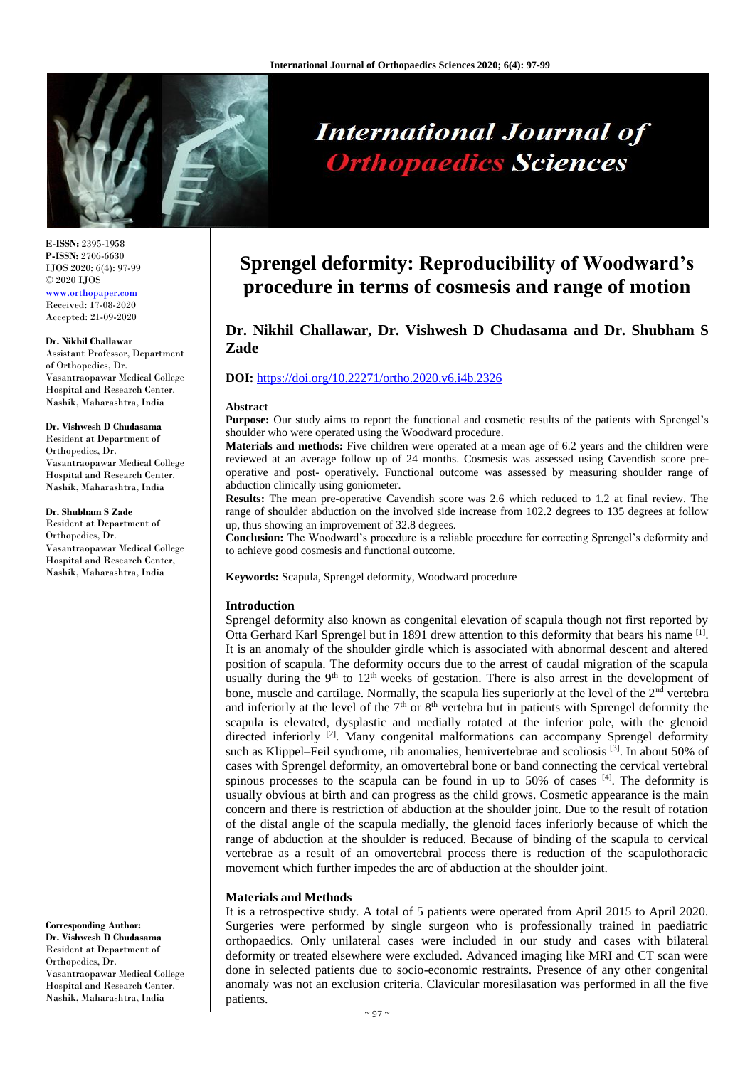

# **International Journal of Orthopaedics Sciences**

**E-ISSN:** 2395-1958 **P-ISSN:** 2706-6630 IJOS 2020; 6(4): 97-99 © 2020 IJOS [www.orthopaper.com](http://www.orthopaper.com/) Received: 17-08-2020 Accepted: 21-09-2020

#### **Dr. Nikhil Challawar**

Assistant Professor, Department of Orthopedics, Dr. Vasantraopawar Medical College Hospital and Research Center. Nashik, Maharashtra, India

#### **Dr. Vishwesh D Chudasama**

Resident at Department of Orthopedics, Dr. Vasantraopawar Medical College Hospital and Research Center. Nashik, Maharashtra, India

#### **Dr. Shubham S Zade**

Resident at Department of Orthopedics, Dr. Vasantraopawar Medical College Hospital and Research Center, Nashik, Maharashtra, India

**Corresponding Author: Dr. Vishwesh D Chudasama** Resident at Department of Orthopedics, Dr. Vasantraopawar Medical College Hospital and Research Center. Nashik, Maharashtra, India

## **Sprengel deformity: Reproducibility of Woodward's procedure in terms of cosmesis and range of motion**

### **Dr. Nikhil Challawar, Dr. Vishwesh D Chudasama and Dr. Shubham S Zade**

#### **DOI:** <https://doi.org/10.22271/ortho.2020.v6.i4b.2326>

#### **Abstract**

**Purpose:** Our study aims to report the functional and cosmetic results of the patients with Sprengel's shoulder who were operated using the Woodward procedure.

**Materials and methods:** Five children were operated at a mean age of 6.2 years and the children were reviewed at an average follow up of 24 months. Cosmesis was assessed using Cavendish score preoperative and post- operatively. Functional outcome was assessed by measuring shoulder range of abduction clinically using goniometer.

**Results:** The mean pre-operative Cavendish score was 2.6 which reduced to 1.2 at final review. The range of shoulder abduction on the involved side increase from 102.2 degrees to 135 degrees at follow up, thus showing an improvement of 32.8 degrees.

**Conclusion:** The Woodward's procedure is a reliable procedure for correcting Sprengel's deformity and to achieve good cosmesis and functional outcome.

**Keywords:** Scapula, Sprengel deformity, Woodward procedure

#### **Introduction**

Sprengel deformity also known as congenital elevation of scapula though not first reported by Otta Gerhard Karl Sprengel but in 1891 drew attention to this deformity that bears his name [1]. It is an anomaly of the shoulder girdle which is associated with abnormal descent and altered position of scapula. The deformity occurs due to the arrest of caudal migration of the scapula usually during the  $9<sup>th</sup>$  to  $12<sup>th</sup>$  weeks of gestation. There is also arrest in the development of bone, muscle and cartilage. Normally, the scapula lies superiorly at the level of the  $2<sup>nd</sup>$  vertebra and inferiorly at the level of the  $7<sup>th</sup>$  or  $8<sup>th</sup>$  vertebra but in patients with Sprengel deformity the scapula is elevated, dysplastic and medially rotated at the inferior pole, with the glenoid directed inferiorly  $[2]$ . Many congenital malformations can accompany Sprengel deformity such as Klippel–Feil syndrome, rib anomalies, hemivertebrae and scoliosis <sup>[3]</sup>. In about 50% of cases with Sprengel deformity, an omovertebral bone or band connecting the cervical vertebral spinous processes to the scapula can be found in up to 50% of cases  $[4]$ . The deformity is usually obvious at birth and can progress as the child grows. Cosmetic appearance is the main concern and there is restriction of abduction at the shoulder joint. Due to the result of rotation of the distal angle of the scapula medially, the glenoid faces inferiorly because of which the range of abduction at the shoulder is reduced. Because of binding of the scapula to cervical vertebrae as a result of an omovertebral process there is reduction of the scapulothoracic movement which further impedes the arc of abduction at the shoulder joint.

#### **Materials and Methods**

It is a retrospective study. A total of 5 patients were operated from April 2015 to April 2020. Surgeries were performed by single surgeon who is professionally trained in paediatric orthopaedics. Only unilateral cases were included in our study and cases with bilateral deformity or treated elsewhere were excluded. Advanced imaging like MRI and CT scan were done in selected patients due to socio-economic restraints. Presence of any other congenital anomaly was not an exclusion criteria. Clavicular moresilasation was performed in all the five patients.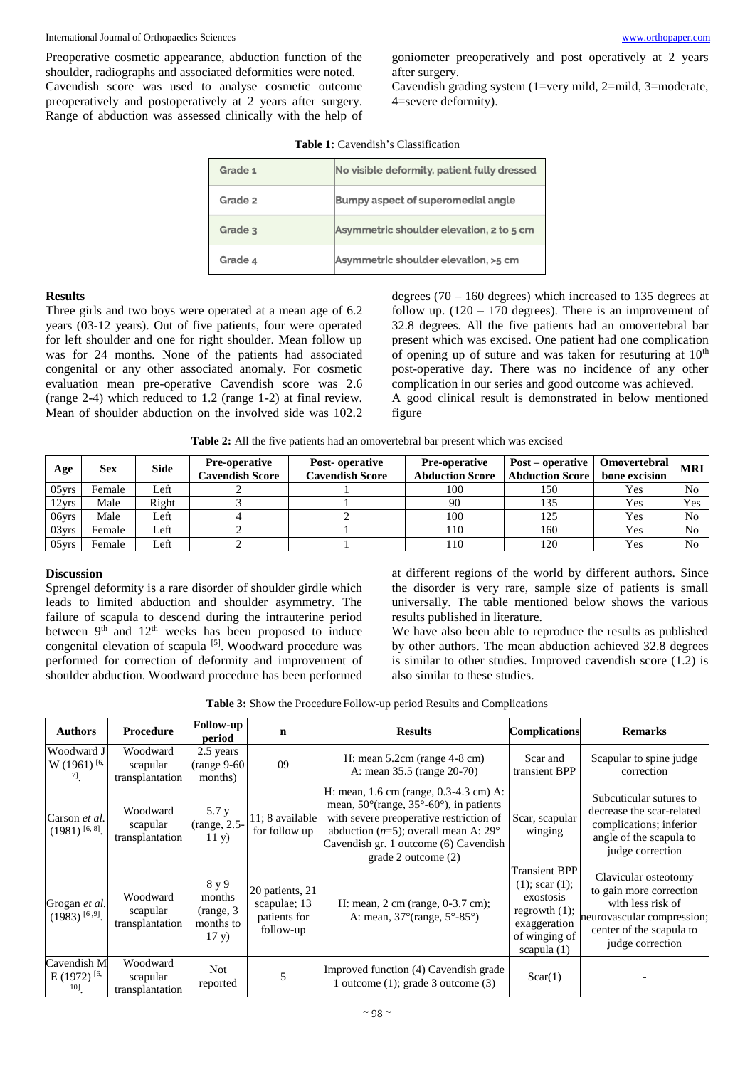#### International Journal of Orthopaedics Sciences [www.orthopaper.com](http://www.orthopaper.com/)

Preoperative cosmetic appearance, abduction function of the shoulder, radiographs and associated deformities were noted. Cavendish score was used to analyse cosmetic outcome preoperatively and postoperatively at 2 years after surgery. Range of abduction was assessed clinically with the help of goniometer preoperatively and post operatively at 2 years after surgery.

Cavendish grading system (1=very mild, 2=mild, 3=moderate, 4=severe deformity).

ed

m

| Grade 1 | No visible deformity, patient fully dress |
|---------|-------------------------------------------|
| Grade 2 | Bumpy aspect of superomedial angle        |
| Grade 3 | Asymmetric shoulder elevation, 2 to 5 c   |
| Grade 4 | Asymmetric shoulder elevation, >5 cm      |

**Table 1:** Cavendish's Classification

#### **Results**

Three girls and two boys were operated at a mean age of 6.2 years (03-12 years). Out of five patients, four were operated for left shoulder and one for right shoulder. Mean follow up was for 24 months. None of the patients had associated congenital or any other associated anomaly. For cosmetic evaluation mean pre-operative Cavendish score was 2.6 (range 2-4) which reduced to 1.2 (range 1-2) at final review. Mean of shoulder abduction on the involved side was 102.2

degrees  $(70 - 160$  degrees) which increased to 135 degrees at follow up.  $(120 - 170$  degrees). There is an improvement of 32.8 degrees. All the five patients had an omovertebral bar present which was excised. One patient had one complication of opening up of suture and was taken for resuturing at  $10<sup>th</sup>$ post-operative day. There was no incidence of any other complication in our series and good outcome was achieved. A good clinical result is demonstrated in below mentioned figure

**Table 2:** All the five patients had an omovertebral bar present which was excised

| Age      | Sex    | Side  | <b>Pre-operative</b><br>Cavendish Score | Post-operative<br>Cavendish Score | <b>Pre-operative</b><br><b>Abduction Score</b> | Post – operative<br><b>Abduction Score</b> | Omovertebral<br>bone excision | <b>MRI</b>     |
|----------|--------|-------|-----------------------------------------|-----------------------------------|------------------------------------------------|--------------------------------------------|-------------------------------|----------------|
| $05$ vrs | Female | ∟eft  |                                         |                                   | 100                                            | 150                                        | Yes                           | N <sub>0</sub> |
| 12yrs    | Male   | Right |                                         |                                   | 90                                             | 135                                        | Yes                           | Yes            |
| 06yrs    | Male   | Left  |                                         |                                   | 100                                            | 125                                        | Yes                           | N <sub>0</sub> |
| 03vrs    | Female | Left  |                                         |                                   | 110                                            | 160                                        | Yes                           | N <sub>0</sub> |
| $05$ vrs | Female | Left  |                                         |                                   | 110                                            | 120                                        | Yes                           | N <sub>0</sub> |

#### **Discussion**

Sprengel deformity is a rare disorder of shoulder girdle which leads to limited abduction and shoulder asymmetry. The failure of scapula to descend during the intrauterine period between 9<sup>th</sup> and 12<sup>th</sup> weeks has been proposed to induce congenital elevation of scapula <sup>[5]</sup>. Woodward procedure was performed for correction of deformity and improvement of shoulder abduction. Woodward procedure has been performed

at different regions of the world by different authors. Since the disorder is very rare, sample size of patients is small universally. The table mentioned below shows the various results published in literature.

We have also been able to reproduce the results as published by other authors. The mean abduction achieved 32.8 degrees is similar to other studies. Improved cavendish score (1.2) is also similar to these studies.

| <b>Authors</b>                                       | Procedure                               | Follow-up<br>period                                 | $\mathbf n$                                                  | <b>Results</b>                                                                                                                                                                                                                                              | <b>Complications</b>                                                                                                            | <b>Remarks</b>                                                                                                                                     |
|------------------------------------------------------|-----------------------------------------|-----------------------------------------------------|--------------------------------------------------------------|-------------------------------------------------------------------------------------------------------------------------------------------------------------------------------------------------------------------------------------------------------------|---------------------------------------------------------------------------------------------------------------------------------|----------------------------------------------------------------------------------------------------------------------------------------------------|
| Woodward J<br>$W(1961)$ <sup>[6,</sup> ]<br>$\eta$ . | Woodward<br>scapular<br>transplantation | 2.5 years<br>$(range 9-60$<br>months)               | 09                                                           | H: mean $5.2cm$ (range $4-8$ cm)<br>A: mean 35.5 (range 20-70)                                                                                                                                                                                              | Scar and<br>transient BPP                                                                                                       | Scapular to spine judge<br>correction                                                                                                              |
| Carson et al.<br>$(1981)$ [6, 8].                    | Woodward<br>scapular<br>transplantation | 5.7 y<br>(range, 2.5-<br>11 y)                      | 11; 8 available<br>for follow up                             | H: mean, 1.6 cm (range, 0.3-4.3 cm) A:<br>mean, $50^{\circ}$ (range, $35^{\circ}$ -60°), in patients<br>with severe preoperative restriction of<br>abduction ( $n=5$ ); overall mean A: 29°<br>Cavendish gr. 1 outcome (6) Cavendish<br>grade 2 outcome (2) | Scar, scapular<br>winging                                                                                                       | Subcuticular sutures to<br>decrease the scar-related<br>complications; inferior<br>angle of the scapula to<br>judge correction                     |
| Grogan et al.<br>$(1983)$ [6,9].                     | Woodward<br>scapular<br>transplantation | 8 y 9<br>months<br>(range, 3)<br>months to<br>17 y) | 20 patients, 21<br>scapulae; 13<br>patients for<br>follow-up | H: mean, $2 \text{ cm}$ (range, $0-3.7 \text{ cm}$ );<br>A: mean, $37^{\circ}$ (range, $5^{\circ}$ -85°)                                                                                                                                                    | <b>Transient BPP</b><br>$(1)$ ; scar $(1)$ ;<br>exostosis<br>regrowth $(1)$ ;<br>exaggeration<br>of winging of<br>scapula $(1)$ | Clavicular osteotomy<br>to gain more correction<br>with less risk of<br>neurovascular compression;<br>center of the scapula to<br>judge correction |
| Cavendish M<br>E (1972) $[6,$<br>10]                 | Woodward<br>scapular<br>transplantation | Not<br>reported                                     | 5                                                            | Improved function (4) Cavendish grade<br>1 outcome $(1)$ ; grade 3 outcome $(3)$                                                                                                                                                                            | Scar(1)                                                                                                                         |                                                                                                                                                    |